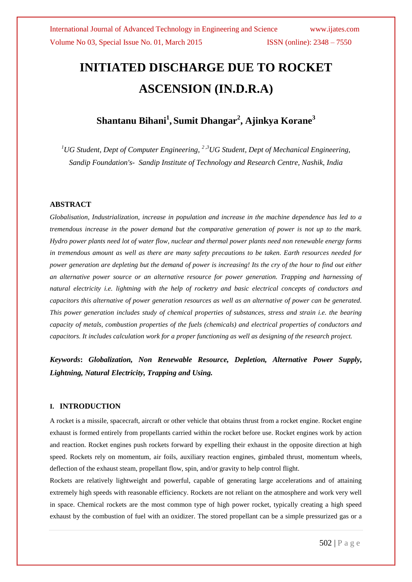# **INITIATED DISCHARGE DUE TO ROCKET ASCENSION (IN.D.R.A)**

# **Shantanu Bihani<sup>1</sup> , Sumit Dhangar<sup>2</sup> , Ajinkya Korane<sup>3</sup>**

*<sup>1</sup>UG Student, Dept of Computer Engineering, 2 ,3UG Student, Dept of Mechanical Engineering, Sandip Foundation's- Sandip Institute of Technology and Research Centre, Nashik, India*

#### **ABSTRACT**

*Globalisation, Industrialization, increase in population and increase in the machine dependence has led to a tremendous increase in the power demand but the comparative generation of power is not up to the mark. Hydro power plants need lot of water flow, nuclear and thermal power plants need non renewable energy forms in tremendous amount as well as there are many safety precautions to be taken. Earth resources needed for power generation are depleting but the demand of power is increasing! Its the cry of the hour to find out either an alternative power source or an alternative resource for power generation. Trapping and harnessing of natural electricity i.e. lightning with the help of rocketry and basic electrical concepts of conductors and capacitors this alternative of power generation resources as well as an alternative of power can be generated. This power generation includes study of chemical properties of substances, stress and strain i.e. the bearing capacity of metals, combustion properties of the fuels (chemicals) and electrical properties of conductors and capacitors. It includes calculation work for a proper functioning as well as designing of the research project.*

*Keywords***:** *Globalization, Non Renewable Resource, Depletion, Alternative Power Supply, Lightning, Natural Electricity, Trapping and Using.*

### **I. INTRODUCTION**

A rocket is a missile, spacecraft, aircraft or other vehicle that obtains thrust from a rocket engine. Rocket engine exhaust is formed entirely from propellants carried within the rocket before use. Rocket engines work by action and reaction. Rocket engines push rockets forward by expelling their exhaust in the opposite direction at high speed. Rockets rely on momentum, air foils, auxiliary reaction engines, gimbaled thrust, momentum wheels, deflection of the exhaust steam, propellant flow, spin, and/or gravity to help control flight.

Rockets are relatively lightweight and powerful, capable of generating large accelerations and of attaining extremely high speeds with reasonable efficiency. Rockets are not reliant on the atmosphere and work very well in space. Chemical rockets are the most common type of high power rocket, typically creating a high speed exhaust by the combustion of fuel with an oxidizer. The stored propellant can be a simple pressurized gas or a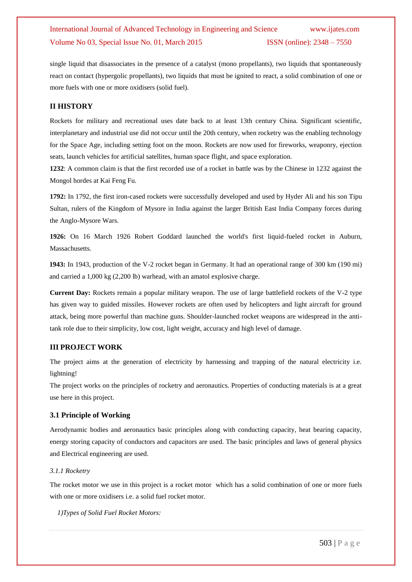single liquid that disassociates in the presence of a catalyst (mono propellants), two liquids that spontaneously react on contact (hypergolic propellants), two liquids that must be ignited to react, a solid combination of one or more fuels with one or more oxidisers (solid fuel).

#### **II HISTORY**

Rockets for military and recreational uses date back to at least 13th century China. Significant scientific, interplanetary and industrial use did not occur until the 20th century, when rocketry was the enabling technology for the Space Age, including setting foot on the moon. Rockets are now used for fireworks, weaponry, ejection seats, launch vehicles for artificial satellites, human space flight, and space exploration.

**1232**: A common claim is that the first recorded use of a rocket in battle was by the Chinese in 1232 against the Mongol hordes at Kai Feng Fu.

**1792:** In 1792, the first iron-cased rockets were successfully developed and used by Hyder Ali and his son Tipu Sultan, rulers of the Kingdom of Mysore in India against the larger British East India Company forces during the Anglo-Mysore Wars.

**1926:** On 16 March 1926 Robert Goddard launched the world's first liquid-fueled rocket in Auburn, Massachusetts.

**1943:** In 1943, production of the V-2 rocket began in Germany. It had an operational range of 300 km (190 mi) and carried a 1,000 kg (2,200 lb) warhead, with an amatol explosive charge.

**Current Day:** Rockets remain a popular military weapon. The use of large battlefield rockets of the V-2 type has given way to guided missiles. However rockets are often used by helicopters and light aircraft for ground attack, being more powerful than machine guns. Shoulder-launched rocket weapons are widespread in the antitank role due to their simplicity, low cost, light weight, accuracy and high level of damage.

#### **III PROJECT WORK**

The project aims at the generation of electricity by harnessing and trapping of the natural electricity i.e. lightning!

The project works on the principles of rocketry and aeronautics. Properties of conducting materials is at a great use here in this project.

#### **3.1 Principle of Working**

Aerodynamic bodies and aeronautics basic principles along with conducting capacity, heat bearing capacity, energy storing capacity of conductors and capacitors are used. The basic principles and laws of general physics and Electrical engineering are used.

#### *3.1.1 Rocketry*

The rocket motor we use in this project is a rocket motor which has a solid combination of one or more fuels with one or more oxidisers i.e. a solid fuel rocket motor.

*1)Types of Solid Fuel Rocket Motors:*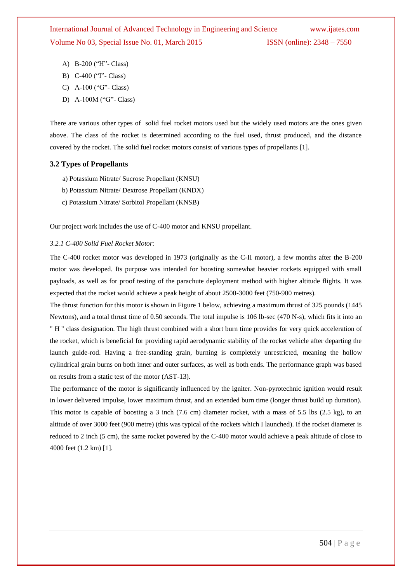- A) B-200 ("H"- Class)
- B) C-400 ("I"- Class)
- C) A-100 ("G"- Class)
- D) A-100M ("G"- Class)

There are various other types of solid fuel rocket motors used but the widely used motors are the ones given above. The class of the rocket is determined according to the fuel used, thrust produced, and the distance covered by the rocket. The solid fuel rocket motors consist of various types of propellants [1].

#### **3.2 Types of Propellants**

- a) Potassium Nitrate/ Sucrose Propellant (KNSU)
- b) Potassium Nitrate/ Dextrose Propellant (KNDX)
- c) Potassium Nitrate/ Sorbitol Propellant (KNSB)

Our project work includes the use of C-400 motor and KNSU propellant.

#### *3.2.1 C-400 Solid Fuel Rocket Motor:*

The C-400 rocket motor was developed in 1973 (originally as the C-II motor), a few months after the B-200 motor was developed. Its purpose was intended for boosting somewhat heavier rockets equipped with small payloads, as well as for proof testing of the parachute deployment method with higher altitude flights. It was expected that the rocket would achieve a peak height of about 2500-3000 feet (750-900 metres).

The thrust function for this motor is shown in Figure 1 below, achieving a maximum thrust of 325 pounds (1445 Newtons), and a total thrust time of 0.50 seconds. The total impulse is 106 lb-sec (470 N-s), which fits it into an " H " class designation. The high thrust combined with a short burn time provides for very quick acceleration of the rocket, which is beneficial for providing rapid aerodynamic stability of the rocket vehicle after departing the launch guide-rod. Having a free-standing grain, burning is completely unrestricted, meaning the hollow cylindrical grain burns on both inner and outer surfaces, as well as both ends. The performance graph was based on results from a static test of the motor (AST-13).

The performance of the motor is significantly influenced by the igniter. Non-pyrotechnic ignition would result in lower delivered impulse, lower maximum thrust, and an extended burn time (longer thrust build up duration). This motor is capable of boosting a 3 inch  $(7.6 \text{ cm})$  diameter rocket, with a mass of 5.5 lbs  $(2.5 \text{ kg})$ , to an altitude of over 3000 feet (900 metre) (this was typical of the rockets which I launched). If the rocket diameter is reduced to 2 inch (5 cm), the same rocket powered by the C-400 motor would achieve a peak altitude of close to 4000 feet (1.2 km) [1].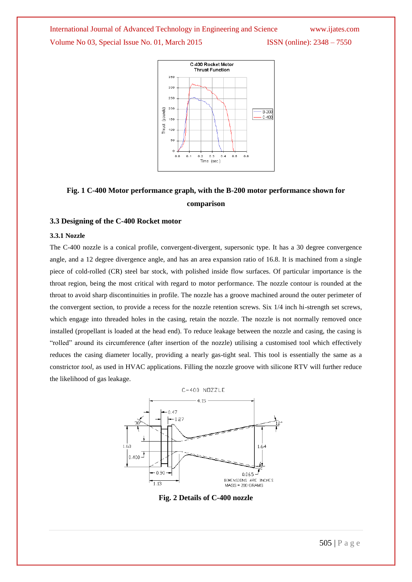

# **Fig. 1 C-400 Motor performance graph, with the B-200 motor performance shown for comparison**

#### **3.3 Designing of the C-400 Rocket motor**

#### **3.3.1 Nozzle**

The C-400 nozzle is a conical profile, convergent-divergent, supersonic type. It has a 30 degree convergence angle, and a 12 degree divergence angle, and has an area expansion ratio of 16.8. It is machined from a single piece of cold-rolled (CR) steel bar stock, with polished inside flow surfaces. Of particular importance is the throat region, being the most critical with regard to motor performance. The nozzle contour is rounded at the throat to avoid sharp discontinuities in profile. The nozzle has a groove machined around the outer perimeter of the convergent section, to provide a recess for the nozzle retention screws. Six 1/4 inch hi-strength set screws, which engage into threaded holes in the casing, retain the nozzle. The nozzle is not normally removed once installed (propellant is loaded at the head end). To reduce leakage between the nozzle and casing, the casing is "rolled" around its circumference (after insertion of the nozzle) utilising a customised tool which effectively reduces the casing diameter locally, providing a nearly gas-tight seal. This tool is essentially the same as a constrictor *tool*, as used in HVAC applications. Filling the nozzle groove with silicone RTV will further reduce the likelihood of gas leakage.



**Fig. 2 Details of C-400 nozzle**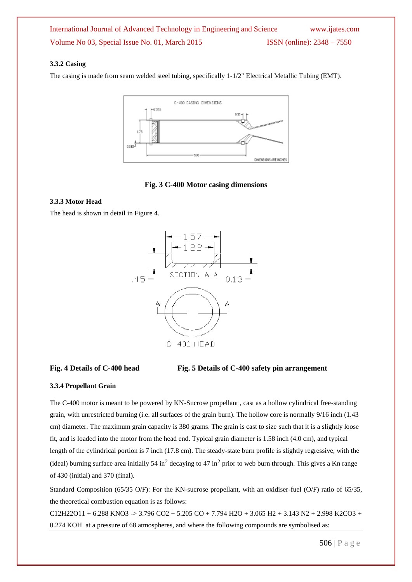### **3.3.2 Casing**

The casing is made from seam welded steel tubing, specifically 1-1/2" Electrical Metallic Tubing (EMT).



### **Fig. 3 C-400 Motor casing dimensions**

#### **3.3.3 Motor Head**

The head is shown in detail in Figure 4.





#### **3.3.4 Propellant Grain**

The C-400 motor is meant to be powered by KN-Sucrose propellant , cast as a hollow cylindrical free-standing grain, with unrestricted burning (i.e. all surfaces of the grain burn). The hollow core is normally 9/16 inch (1.43 cm) diameter. The maximum grain capacity is 380 grams. The grain is cast to size such that it is a slightly loose fit, and is loaded into the motor from the head end. Typical grain diameter is 1.58 inch (4.0 cm), and typical length of the cylindrical portion is 7 inch (17.8 cm). The steady-state burn profile is slightly regressive, with the (ideal) burning surface area initially 54 in<sup>2</sup> decaying to 47 in<sup>2</sup> prior to web burn through. This gives a Kn range of 430 (initial) and 370 (final).

Standard Composition (65/35 O/F): For the KN-sucrose propellant, with an oxidiser-fuel (O/F) ratio of 65/35, the theoretical combustion equation is as follows:

 $C12H22O11 + 6.288$  KNO3 -> 3.796 CO2 + 5.205 CO + 7.794 H2O + 3.065 H2 + 3.143 N2 + 2.998 K2CO3 + 0.274 KOH at a pressure of 68 atmospheres, and where the following compounds are symbolised as: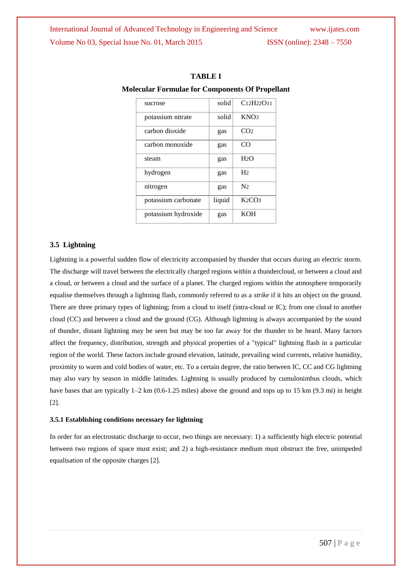| solid<br>C12H22O11<br>sucrose<br>KNO <sub>3</sub><br>potassium nitrate<br>solid<br>carbon dioxide<br>CO <sub>2</sub><br>gas<br>carbon monoxide<br>CO<br>gas<br>H2O<br>steam<br>gas<br>H <sub>2</sub><br>hydrogen<br>gas<br>N <sub>2</sub><br>nitrogen<br>gas<br>K2CO3<br>liquid<br>potassium carbonate<br><b>KOH</b><br>potassium hydroxide<br>gas |  |  |
|----------------------------------------------------------------------------------------------------------------------------------------------------------------------------------------------------------------------------------------------------------------------------------------------------------------------------------------------------|--|--|
|                                                                                                                                                                                                                                                                                                                                                    |  |  |
|                                                                                                                                                                                                                                                                                                                                                    |  |  |
|                                                                                                                                                                                                                                                                                                                                                    |  |  |
|                                                                                                                                                                                                                                                                                                                                                    |  |  |
|                                                                                                                                                                                                                                                                                                                                                    |  |  |
|                                                                                                                                                                                                                                                                                                                                                    |  |  |
|                                                                                                                                                                                                                                                                                                                                                    |  |  |
|                                                                                                                                                                                                                                                                                                                                                    |  |  |
|                                                                                                                                                                                                                                                                                                                                                    |  |  |

#### **TABLE I**

#### **Molecular Formulae for Components Of Propellant**

#### **3.5 Lightning**

Lightning is a powerful sudden flow of electricity accompanied by thunder that occurs during an electric storm. The discharge will travel between the electrically charged regions within a thundercloud, or between a cloud and a cloud, or between a cloud and the surface of a planet. The charged regions within the atmosphere temporarily equalise themselves through a lightning flash, commonly referred to as a *strike* if it hits an object on the ground. There are three primary types of lightning; from a cloud to itself (intra-cloud or IC); from one cloud to another cloud (CC) and between a cloud and the ground (CG). Although lightning is always accompanied by the sound of thunder, distant lightning may be seen but may be too far away for the thunder to be heard. Many factors affect the frequency, distribution, strength and physical properties of a "typical" lightning flash in a particular region of the world. These factors include ground elevation, latitude, prevailing wind currents, relative humidity, proximity to warm and cold bodies of water, etc. To a certain degree, the ratio between IC, CC and CG lightning may also vary by season in middle latitudes. Lightning is usually produced by cumulonimbus clouds, which have bases that are typically  $1-2 \text{ km } (0.6-1.25 \text{ miles})$  above the ground and tops up to 15 km (9.3 mi) in height [2].

#### **3.5.1 Establishing conditions necessary for lightning**

In order for an electrostatic discharge to occur, two things are necessary: 1) a sufficiently high electric potential between two regions of space must exist; and 2) a high-resistance medium must obstruct the free, unimpeded equalisation of the opposite charges [2].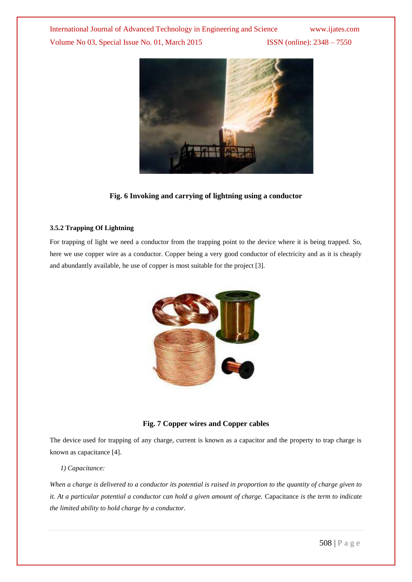

### **Fig. 6 Invoking and carrying of lightning using a conductor**

#### **3.5.2 Trapping Of Lightning**

For trapping of light we need a conductor from the trapping point to the device where it is being trapped. So, here we use copper wire as a conductor. Copper being a very good conductor of electricity and as it is cheaply and abundantly available, he use of copper is most suitable for the project [3].



#### **Fig. 7 Copper wires and Copper cables**

The device used for trapping of any charge, current is known as a capacitor and the property to trap charge is known as capacitance [4].

#### *1) Capacitance:*

*When a charge is delivered to a conductor its potential is raised in proportion to the quantity of charge given to it. At a particular potential a conductor can hold a given amount of charge.* Capacitance *is the term to indicate the limited ability to hold charge by a conductor.*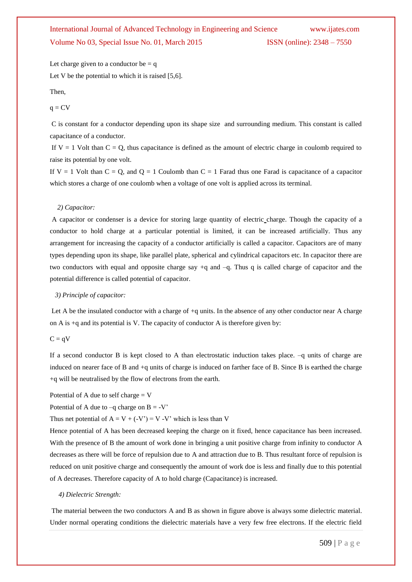Let charge given to a conductor be  $= q$ Let V be the potential to which it is raised [5,6].

#### Then,

#### $q = CV$

C is constant for a conductor depending upon its shape size and surrounding medium. This constant is called capacitance of a conductor.

If  $V = 1$  Volt than  $C = Q$ , thus capacitance is defined as the amount of electric charge in coulomb required to raise its potential by one volt.

If  $V = 1$  Volt than  $C = Q$ , and  $Q = 1$  Coulomb than  $C = 1$  Farad thus one Farad is capacitance of a capacitor which stores a charge of one coulomb when a voltage of one volt is applied across its terminal.

#### *2) Capacitor:*

A capacitor or condenser is a device for storing large quantity of electric charge. Though the capacity of a conductor to hold charge at a particular potential is limited, it can be increased artificially. Thus any arrangement for increasing the capacity of a conductor artificially is called a capacitor. Capacitors are of many types depending upon its shape, like parallel plate, spherical and cylindrical capacitors etc. In capacitor there are two conductors with equal and opposite charge say +q and –q. Thus q is called charge of capacitor and the potential difference is called potential of capacitor.

#### *3) Principle of capacitor:*

Let A be the insulated conductor with a charge of  $+q$  units. In the absence of any other conductor near A charge on A is +q and its potential is V. The capacity of conductor A is therefore given by:

#### $C = qV$

If a second conductor B is kept closed to A than electrostatic induction takes place. –q units of charge are induced on nearer face of B and +q units of charge is induced on farther face of B. Since B is earthed the charge +q will be neutralised by the flow of electrons from the earth.

Potential of A due to self charge  $= V$ 

Potential of A due to  $-q$  charge on  $B = -V'$ 

Thus net potential of  $A = V + (-V') = V -V'$  which is less than V

Hence potential of A has been decreased keeping the charge on it fixed, hence capacitance has been increased. With the presence of B the amount of work done in bringing a unit positive charge from infinity to conductor A decreases as there will be force of repulsion due to A and attraction due to B. Thus resultant force of repulsion is reduced on unit positive charge and consequently the amount of work doe is less and finally due to this potential of A decreases. Therefore capacity of A to hold charge (Capacitance) is increased.

#### *4) Dielectric Strength:*

The material between the two conductors A and B as shown in figure above is always some dielectric material. Under normal operating conditions the dielectric materials have a very few free electrons. If the electric field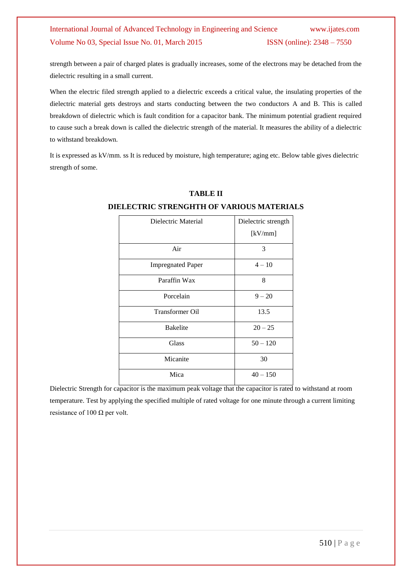strength between a pair of charged plates is gradually increases, some of the electrons may be detached from the dielectric resulting in a small current.

When the electric filed strength applied to a dielectric exceeds a critical value, the insulating properties of the dielectric material gets destroys and starts conducting between the two conductors A and B. This is called breakdown of dielectric which is fault condition for a capacitor bank. The minimum potential gradient required to cause such a break down is called the dielectric strength of the material. It measures the ability of a dielectric to withstand breakdown.

It is expressed as kV/mm. ss It is reduced by moisture, high temperature; aging etc. Below table gives dielectric strength of some.

| Dielectric Material      | Dielectric strength<br>[kV/mm] |
|--------------------------|--------------------------------|
| Air                      | 3                              |
| <b>Impregnated Paper</b> | $4 - 10$                       |
| Paraffin Wax             | 8                              |
| Porcelain                | $9 - 20$                       |
| <b>Transformer Oil</b>   | 13.5                           |
| <b>Bakelite</b>          | $20 - 25$                      |
| Glass                    | $50 - 120$                     |
| Micanite                 | 30                             |
| Mica                     | $40 - 150$                     |

#### **TABLE II**

## **DIELECTRIC STRENGHTH OF VARIOUS MATERIALS**

Dielectric Strength for capacitor is the maximum peak voltage that the capacitor is rated to withstand at room temperature. Test by applying the specified multiple of rated voltage for one minute through a current limiting resistance of 100  $\Omega$  per volt.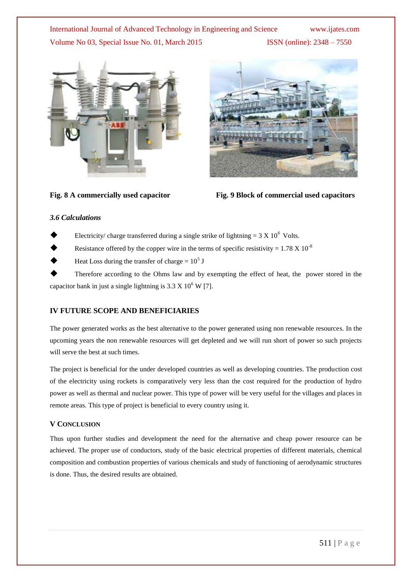



Fig. 8 A commercially used capacitor Fig. 9 Block of commercial used capacitors

#### *3.6 Calculations*

- Electricity/ charge transferred during a single strike of lightning =  $3 \text{ X } 10^6$  Volts.
- Resistance offered by the copper wire in the terms of specific resistivity =  $1.78 \times 10^{-8}$
- $\blacklozenge$  Heat Loss during the transfer of charge =  $10^5$  J

 Therefore according to the Ohms law and by exempting the effect of heat, the power stored in the capacitor bank in just a single lightning is  $3.3 \times 10^6$  W [7].

#### **IV FUTURE SCOPE AND BENEFICIARIES**

The power generated works as the best alternative to the power generated using non renewable resources. In the upcoming years the non renewable resources will get depleted and we will run short of power so such projects will serve the best at such times.

The project is beneficial for the under developed countries as well as developing countries. The production cost of the electricity using rockets is comparatively very less than the cost required for the production of hydro power as well as thermal and nuclear power. This type of power will be very useful for the villages and places in remote areas. This type of project is beneficial to every country using it.

#### **V CONCLUSION**

Thus upon further studies and development the need for the alternative and cheap power resource can be achieved. The proper use of conductors, study of the basic electrical properties of different materials, chemical composition and combustion properties of various chemicals and study of functioning of aerodynamic structures is done. Thus, the desired results are obtained.